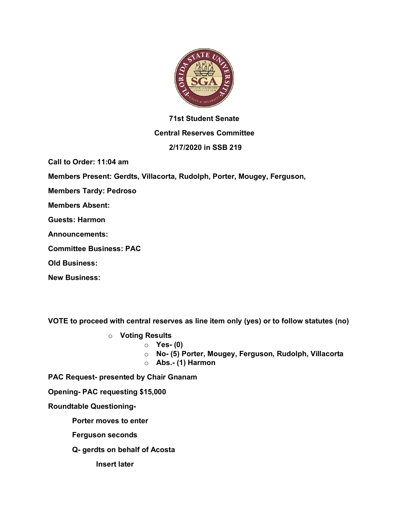

## **71st Student Senate**

### **Central Reserves Committee**

## **2/17/2020 in SSB 219**

**Call to Order: 11:04 am**

**Members Present: Gerdts, Villacorta, Rudolph, Porter, Mougey, Ferguson,** 

**Members Tardy: Pedroso**

**Members Absent:**

**Guests: Harmon**

**Announcements:** 

**Committee Business: PAC**

**Old Business:**

**New Business:**

**VOTE to proceed with central reserves as line item only (yes) or to follow statutes (no)**

- o **Voting Results**
	- o **Yes- (0)**
	- o **No- (5) Porter, Mougey, Ferguson, Rudolph, Villacorta**
	- o **Abs.- (1) Harmon**

**PAC Request- presented by Chair Gnanam**

**Opening- PAC requesting \$15,000**

**Roundtable Questioning-**

**Porter moves to enter**

**Ferguson seconds**

**Q- gerdts on behalf of Acosta**

**Insert later**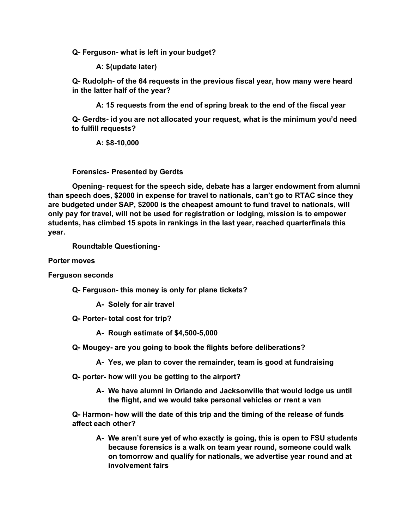**Q- Ferguson- what is left in your budget?**

**A: \$(update later)**

**Q- Rudolph- of the 64 requests in the previous fiscal year, how many were heard in the latter half of the year?**

**A: 15 requests from the end of spring break to the end of the fiscal year**

**Q- Gerdts- id you are not allocated your request, what is the minimum you'd need to fulfill requests?**

**A: \$8-10,000**

**Forensics- Presented by Gerdts**

**Opening- request for the speech side, debate has a larger endowment from alumni than speech does, \$2000 in expense for travel to nationals, can't go to RTAC since they are budgeted under SAP, \$2000 is the cheapest amount to fund travel to nationals, will only pay for travel, will not be used for registration or lodging, mission is to empower students, has climbed 15 spots in rankings in the last year, reached quarterfinals this year.**

**Roundtable Questioning-**

**Porter moves**

**Ferguson seconds**

**Q- Ferguson- this money is only for plane tickets?**

**A- Solely for air travel**

**Q- Porter- total cost for trip?**

**A- Rough estimate of \$4,500-5,000**

- **Q- Mougey- are you going to book the flights before deliberations?**
	- **A- Yes, we plan to cover the remainder, team is good at fundraising**

**Q- porter- how will you be getting to the airport?**

**A- We have alumni in Orlando and Jacksonville that would lodge us until the flight, and we would take personal vehicles or rrent a van**

**Q- Harmon- how will the date of this trip and the timing of the release of funds affect each other?**

**A- We aren't sure yet of who exactly is going, this is open to FSU students because forensics is a walk on team year round, someone could walk on tomorrow and qualify for nationals, we advertise year round and at involvement fairs**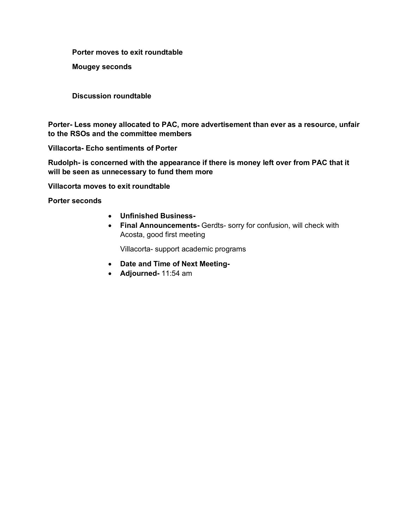**Porter moves to exit roundtable**

**Mougey seconds**

**Discussion roundtable**

**Porter- Less money allocated to PAC, more advertisement than ever as a resource, unfair to the RSOs and the committee members**

**Villacorta- Echo sentiments of Porter**

**Rudolph- is concerned with the appearance if there is money left over from PAC that it will be seen as unnecessary to fund them more**

**Villacorta moves to exit roundtable**

**Porter seconds**

- **Unfinished Business-**
- **Final Announcements-** Gerdts- sorry for confusion, will check with Acosta, good first meeting

Villacorta- support academic programs

- **Date and Time of Next Meeting-**
- **Adjourned-** 11:54 am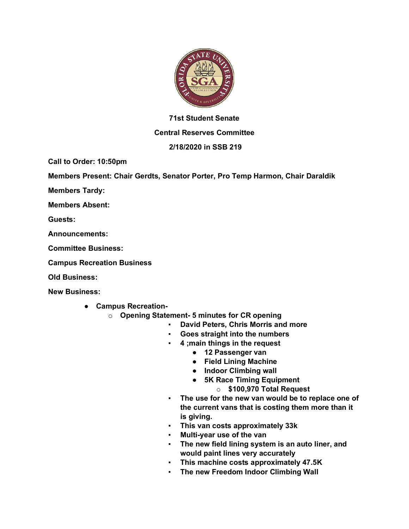

## **71st Student Senate**

### **Central Reserves Committee**

### **2/18/2020 in SSB 219**

**Call to Order: 10:50pm**

**Members Present: Chair Gerdts, Senator Porter, Pro Temp Harmon, Chair Daraldik** 

**Members Tardy:** 

**Members Absent:**

**Guests:** 

**Announcements:** 

**Committee Business:** 

**Campus Recreation Business**

**Old Business:** 

**New Business:**

- **Campus Recreation**
	- o **Opening Statement- 5 minutes for CR opening** 
		- **David Peters, Chris Morris and more**
		- **Goes straight into the numbers**
		- **4 ;main things in the request**
			- **12 Passenger van**
			- **Field Lining Machine**
			- **Indoor Climbing wall**
			- **5K Race Timing Equipment**
				- o **\$100,970 Total Request**
		- **The use for the new van would be to replace one of the current vans that is costing them more than it is giving.**
		- **This van costs approximately 33k**
		- **Multi-year use of the van**
		- **The new field lining system is an auto liner, and would paint lines very accurately**
		- **This machine costs approximately 47.5K**
		- **The new Freedom Indoor Climbing Wall**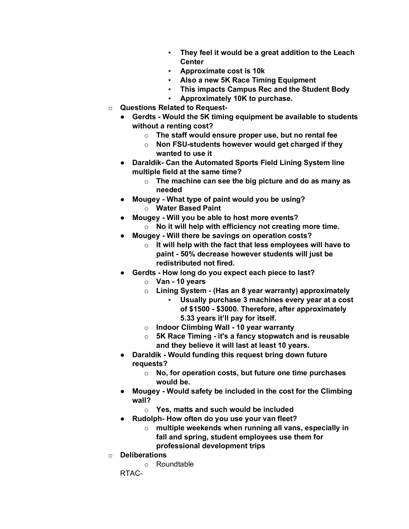- **They feel it would be a great addition to the Leach Center**
- **Approximate cost is 10k**
- **Also a new 5K Race Timing Equipment**
- **This impacts Campus Rec and the Student Body**
- Approximately 10K to purchase.
- o **Questions Related to Request-**
	- **Gerdts - Would the 5K timing equipment be available to students without a renting cost?**
		- o **The staff would ensure proper use, but no rental fee**
		- o **Non FSU-students however would get charged if they wanted to use it**
	- **Daraldik- Can the Automated Sports Field Lining System line multiple field at the same time?**
		- o **The machine can see the big picture and do as many as needed**
	- **Mougey - What type of paint would you be using?** o **Water Based Paint**
	- **Mougey - Will you be able to host more events?**
		- o **No it will help with efficiency not creating more time.**
	- **Mougey - Will there be savings on operation costs?**
		- o **It will help with the fact that less employees will have to paint - 50% decrease however students will just be redistributed not fired.**
	- **Gerdts - How long do you expect each piece to last?**
		- o **Van - 10 years**
		- o **Lining System - (Has an 8 year warranty) approximately** 
			- **Usually purchase 3 machines every year at a cost of \$1500 - \$3000. Therefore, after approximately 5.33 years it'll pay for itself.**
		- o **Indoor Climbing Wall - 10 year warranty**
		- o **5K Race Timing - it's a fancy stopwatch and is reusable and they believe it will last at least 10 years.**
	- **Daraldik - Would funding this request bring down future requests?**
		- o **No, for operation costs, but future one time purchases would be.**
	- **Mougey - Would safety be included in the cost for the Climbing wall?**
		- o **Yes, matts and such would be included**
	- **Rudolph- How often do you use your van fleet?**
		- o **multiple weekends when running all vans, especially in fall and spring, student employees use them for professional development trips**
- o **Deliberations**
	- o Roundtable

RTAC-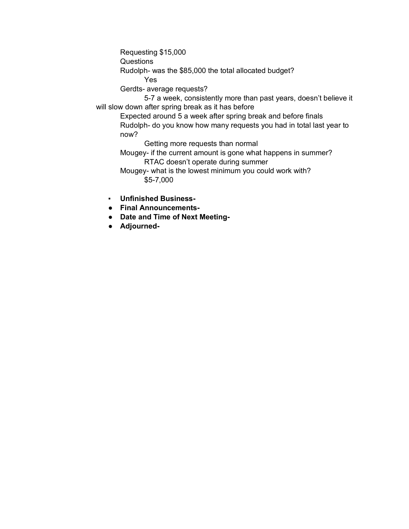Requesting \$15,000

Questions

Rudolph- was the \$85,000 the total allocated budget?

Yes

Gerdts- average requests?

5-7 a week, consistently more than past years, doesn't believe it will slow down after spring break as it has before

Expected around 5 a week after spring break and before finals Rudolph- do you know how many requests you had in total last year to now?

Getting more requests than normal

Mougey- if the current amount is gone what happens in summer? RTAC doesn't operate during summer

Mougey- what is the lowest minimum you could work with? \$5-7,000

- **Unfinished Business-**
- **Final Announcements-**
- **Date and Time of Next Meeting-**
- **Adjourned-**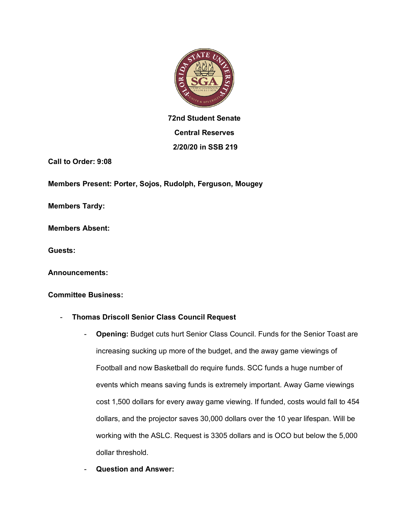

# **72nd Student Senate Central Reserves 2/20/20 in SSB 219**

**Call to Order: 9:08**

**Members Present: Porter, Sojos, Rudolph, Ferguson, Mougey**

**Members Tardy:** 

**Members Absent:**

**Guests:** 

**Announcements:** 

#### **Committee Business:**

### - **Thomas Driscoll Senior Class Council Request**

- **Opening:** Budget cuts hurt Senior Class Council. Funds for the Senior Toast are increasing sucking up more of the budget, and the away game viewings of Football and now Basketball do require funds. SCC funds a huge number of events which means saving funds is extremely important. Away Game viewings cost 1,500 dollars for every away game viewing. If funded, costs would fall to 454 dollars, and the projector saves 30,000 dollars over the 10 year lifespan. Will be working with the ASLC. Request is 3305 dollars and is OCO but below the 5,000 dollar threshold.
- **Question and Answer:**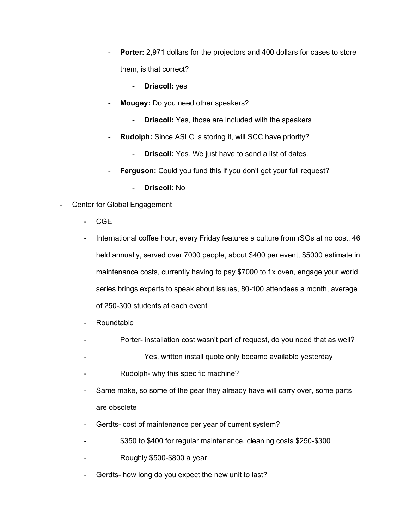- **Porter:** 2,971 dollars for the projectors and 400 dollars for cases to store them, is that correct?
	- **Driscoll:** yes
- **Mougey:** Do you need other speakers?
	- **Driscoll:** Yes, those are included with the speakers
- Rudolph: Since ASLC is storing it, will SCC have priority?
	- **Driscoll:** Yes. We just have to send a list of dates.
- **Ferguson:** Could you fund this if you don't get your full request?
	- **Driscoll:** No
- Center for Global Engagement
	- CGE
	- International coffee hour, every Friday features a culture from rSOs at no cost, 46 held annually, served over 7000 people, about \$400 per event, \$5000 estimate in maintenance costs, currently having to pay \$7000 to fix oven, engage your world series brings experts to speak about issues, 80-100 attendees a month, average of 250-300 students at each event
	- **Roundtable**
	- Porter- installation cost wasn't part of request, do you need that as well?
	- Yes, written install quote only became available yesterday
	- Rudolph- why this specific machine?
	- Same make, so some of the gear they already have will carry over, some parts are obsolete
	- Gerdts- cost of maintenance per year of current system?
	- \$350 to \$400 for regular maintenance, cleaning costs \$250-\$300
	- Roughly \$500-\$800 a year
	- Gerdts- how long do you expect the new unit to last?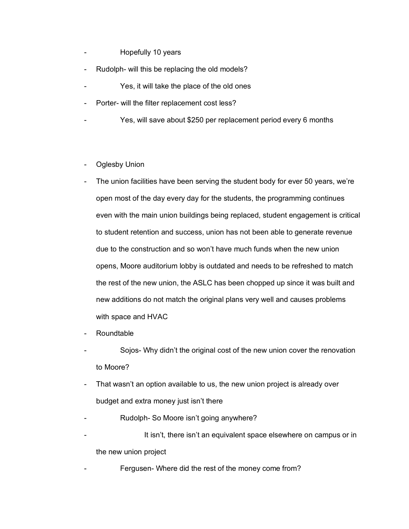- Hopefully 10 years
- Rudolph- will this be replacing the old models?
- Yes, it will take the place of the old ones
- Porter- will the filter replacement cost less?
- Yes, will save about \$250 per replacement period every 6 months
- Oglesby Union
- The union facilities have been serving the student body for ever 50 years, we're open most of the day every day for the students, the programming continues even with the main union buildings being replaced, student engagement is critical to student retention and success, union has not been able to generate revenue due to the construction and so won't have much funds when the new union opens, Moore auditorium lobby is outdated and needs to be refreshed to match the rest of the new union, the ASLC has been chopped up since it was built and new additions do not match the original plans very well and causes problems with space and HVAC
- **Roundtable**
- Sojos- Why didn't the original cost of the new union cover the renovation to Moore?
- That wasn't an option available to us, the new union project is already over budget and extra money just isn't there
- Rudolph- So Moore isn't going anywhere?
- It isn't, there isn't an equivalent space elsewhere on campus or in the new union project
- Fergusen- Where did the rest of the money come from?